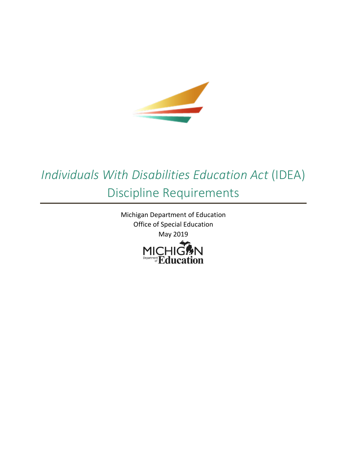

# *Individuals With Disabilities Education Act* (IDEA) Discipline Requirements

Michigan Department of Education Office of Special Education May 2019

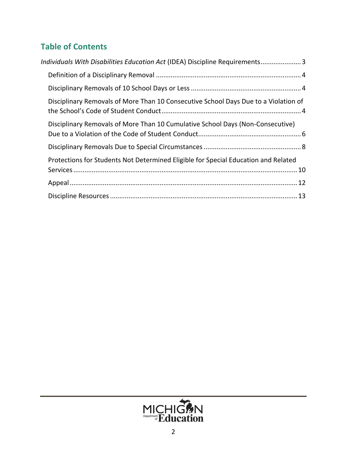# **Table of Contents**

| Individuals With Disabilities Education Act (IDEA) Discipline Requirements3         |  |
|-------------------------------------------------------------------------------------|--|
|                                                                                     |  |
|                                                                                     |  |
| Disciplinary Removals of More Than 10 Consecutive School Days Due to a Violation of |  |
| Disciplinary Removals of More Than 10 Cumulative School Days (Non-Consecutive)      |  |
|                                                                                     |  |
| Protections for Students Not Determined Eligible for Special Education and Related  |  |
|                                                                                     |  |
|                                                                                     |  |

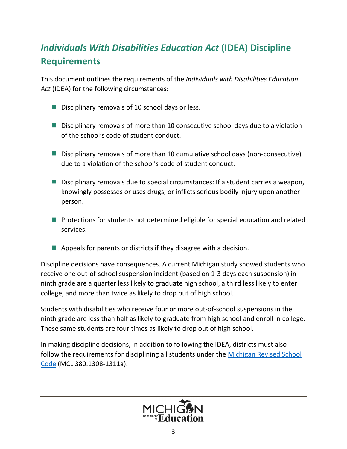# <span id="page-2-0"></span>*Individuals With Disabilities Education Act* **(IDEA) Discipline Requirements**

This document outlines the requirements of the *Individuals with Disabilities Education Act* (IDEA) for the following circumstances:

- $\blacksquare$  Disciplinary removals of 10 school days or less.
- **Disciplinary removals of more than 10 consecutive school days due to a violation** of the school's code of student conduct.
- Disciplinary removals of more than 10 cumulative school days (non-consecutive) due to a violation of the school's code of student conduct.
- Disciplinary removals due to special circumstances: If a student carries a weapon, knowingly possesses or uses drugs, or inflicts serious bodily injury upon another person.
- **Perotections for students not determined eligible for special education and related** services.
- $\blacksquare$  Appeals for parents or districts if they disagree with a decision.

Discipline decisions have consequences. A current Michigan study showed students who receive one out-of-school suspension incident (based on 1-3 days each suspension) in ninth grade are a quarter less likely to graduate high school, a third less likely to enter college, and more than twice as likely to drop out of high school.

Students with disabilities who receive four or more out-of-school suspensions in the ninth grade are less than half as likely to graduate from high school and enroll in college. These same students are four times as likely to drop out of high school.

In making discipline decisions, in addition to following the IDEA, districts must also follow the requirements for disciplining all students under the Michigan Revised School [Code](http://www.legislature.mi.gov/documents/mcl/pdf/mcl-act-451-of-1976.pdf) (MCL 380.1308-1311a).

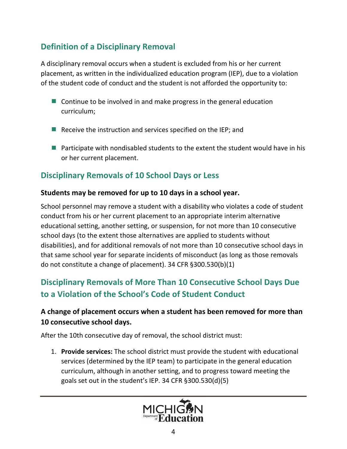## <span id="page-3-0"></span>**Definition of a Disciplinary Removal**

A disciplinary removal occurs when a student is excluded from his or her current placement, as written in the individualized education program (IEP), due to a violation of the student code of conduct and the student is not afforded the opportunity to:

- **Continue to be involved in and make progress in the general education** curriculum;
- Receive the instruction and services specified on the IEP; and
- **Participate with nondisabled students to the extent the student would have in his** or her current placement.

# <span id="page-3-1"></span>**Disciplinary Removals of 10 School Days or Less**

#### **Students may be removed for up to 10 days in a school year.**

School personnel may remove a student with a disability who violates a code of student conduct from his or her current placement to an appropriate interim alternative educational setting, another setting, or suspension, for not more than 10 consecutive school days (to the extent those alternatives are applied to students without disabilities), and for additional removals of not more than 10 consecutive school days in that same school year for separate incidents of misconduct (as long as those removals do not constitute a change of placement). 34 CFR §300.530(b)(1)

# <span id="page-3-2"></span>**Disciplinary Removals of More Than 10 Consecutive School Days Due to a Violation of the School's Code of Student Conduct**

### **A change of placement occurs when a student has been removed for more than 10 consecutive school days.**

After the 10th consecutive day of removal, the school district must:

1. **Provide services:** The school district must provide the student with educational services (determined by the IEP team) to participate in the general education curriculum, although in another setting, and to progress toward meeting the goals set out in the student's IEP. 34 CFR §300.530(d)(5)

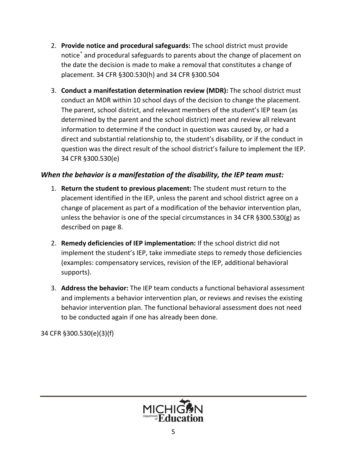- <span id="page-4-0"></span>2. **Provide notice and procedural safeguards:** The school district must provide notice[\\*](#page-12-1) and procedural safeguards to parents about the change of placement on the date the decision is made to make a removal that constitutes a change of placement. 34 CFR §300.530(h) and 34 CFR §300.504
- 3. **Conduct a manifestation determination review (MDR):** The school district must conduct an MDR within 10 school days of the decision to change the placement. The parent, school district, and relevant members of the student's IEP team (as determined by the parent and the school district) meet and review all relevant information to determine if the conduct in question was caused by, or had a direct and substantial relationship to, the student's disability, or if the conduct in question was the direct result of the school district's failure to implement the IEP. 34 CFR §300.530(e)

#### *When the behavior is a manifestation of the disability, the IEP team must:*

- 1. **Return the student to previous placement:** The student must return to the placement identified in the IEP, unless the parent and school district agree on a change of placement as part of a modification of the behavior intervention plan, unless the behavior is one of the special circumstances in 34 CFR §300.530(g) as described on page 8.
- 2. **Remedy deficiencies of IEP implementation:** If the school district did not implement the student's IEP, take immediate steps to remedy those deficiencies (examples: compensatory services, revision of the IEP, additional behavioral supports).
- 3. **Address the behavior:** The IEP team conducts a functional behavioral assessment and implements a behavior intervention plan, or reviews and revises the existing behavior intervention plan. The functional behavioral assessment does not need to be conducted again if one has already been done.

34 CFR §300.530(e)(3)(f)

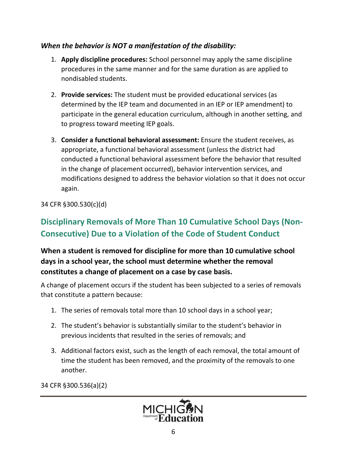#### *When the behavior is NOT a manifestation of the disability:*

- 1. **Apply discipline procedures:** School personnel may apply the same discipline procedures in the same manner and for the same duration as are applied to nondisabled students.
- 2. **Provide services:** The student must be provided educational services (as determined by the IEP team and documented in an IEP or IEP amendment) to participate in the general education curriculum, although in another setting, and to progress toward meeting IEP goals.
- 3. **Consider a functional behavioral assessment:** Ensure the student receives, as appropriate, a functional behavioral assessment (unless the district had conducted a functional behavioral assessment before the behavior that resulted in the change of placement occurred), behavior intervention services, and modifications designed to address the behavior violation so that it does not occur again.

34 CFR §300.530(c)(d)

# <span id="page-5-0"></span>**Disciplinary Removals of More Than 10 Cumulative School Days (Non-Consecutive) Due to a Violation of the Code of Student Conduct**

### **When a student is removed for discipline for more than 10 cumulative school days in a school year, the school must determine whether the removal constitutes a change of placement on a case by case basis.**

A change of placement occurs if the student has been subjected to a series of removals that constitute a pattern because:

- 1. The series of removals total more than 10 school days in a school year;
- 2. The student's behavior is substantially similar to the student's behavior in previous incidents that resulted in the series of removals; and
- 3. Additional factors exist, such as the length of each removal, the total amount of time the student has been removed, and the proximity of the removals to one another.

34 CFR §300.536(a)(2)

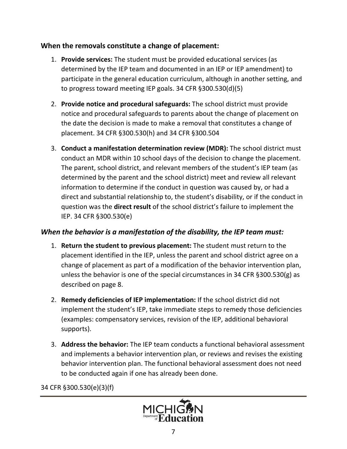#### **When the removals constitute a change of placement:**

- 1. **Provide services:** The student must be provided educational services (as determined by the IEP team and documented in an IEP or IEP amendment) to participate in the general education curriculum, although in another setting, and to progress toward meeting IEP goals. 34 CFR §300.530(d)(5)
- 2. **Provide notice and procedural safeguards:** The school district must provide notice and procedural safeguards to parents about the change of placement on the date the decision is made to make a removal that constitutes a change of placement. 34 CFR §300.530(h) and 34 CFR §300.504
- 3. **Conduct a manifestation determination review (MDR):** The school district must conduct an MDR within 10 school days of the decision to change the placement. The parent, school district, and relevant members of the student's IEP team (as determined by the parent and the school district) meet and review all relevant information to determine if the conduct in question was caused by, or had a direct and substantial relationship to, the student's disability, or if the conduct in question was the **direct result** of the school district's failure to implement the IEP. 34 CFR §300.530(e)

#### *When the behavior is a manifestation of the disability, the IEP team must:*

- 1. **Return the student to previous placement:** The student must return to the placement identified in the IEP, unless the parent and school district agree on a change of placement as part of a modification of the behavior intervention plan, unless the behavior is one of the special circumstances in 34 CFR  $\S 300.530(g)$  as described on page 8.
- 2. **Remedy deficiencies of IEP implementation:** If the school district did not implement the student's IEP, take immediate steps to remedy those deficiencies (examples: compensatory services, revision of the IEP, additional behavioral supports).
- 3. **Address the behavior:** The IEP team conducts a functional behavioral assessment and implements a behavior intervention plan, or reviews and revises the existing behavior intervention plan. The functional behavioral assessment does not need to be conducted again if one has already been done.

34 CFR §300.530(e)(3)(f)

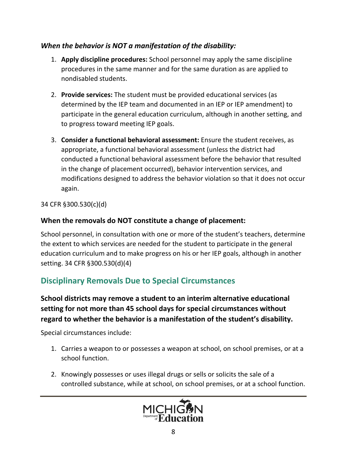#### *When the behavior is NOT a manifestation of the disability:*

- 1. **Apply discipline procedures:** School personnel may apply the same discipline procedures in the same manner and for the same duration as are applied to nondisabled students.
- 2. **Provide services:** The student must be provided educational services (as determined by the IEP team and documented in an IEP or IEP amendment) to participate in the general education curriculum, although in another setting, and to progress toward meeting IEP goals.
- 3. **Consider a functional behavioral assessment:** Ensure the student receives, as appropriate, a functional behavioral assessment (unless the district had conducted a functional behavioral assessment before the behavior that resulted in the change of placement occurred), behavior intervention services, and modifications designed to address the behavior violation so that it does not occur again.

34 CFR §300.530(c)(d)

#### **When the removals do NOT constitute a change of placement:**

School personnel, in consultation with one or more of the student's teachers, determine the extent to which services are needed for the student to participate in the general education curriculum and to make progress on his or her IEP goals, although in another setting. 34 CFR §300.530(d)(4)

### <span id="page-7-0"></span>**Disciplinary Removals Due to Special Circumstances**

#### **School districts may remove a student to an interim alternative educational setting for not more than 45 school days for special circumstances without regard to whether the behavior is a manifestation of the student's disability.**

Special circumstances include:

- 1. Carries a weapon to or possesses a weapon at school, on school premises, or at a school function.
- 2. Knowingly possesses or uses illegal drugs or sells or solicits the sale of a controlled substance, while at school, on school premises, or at a school function.

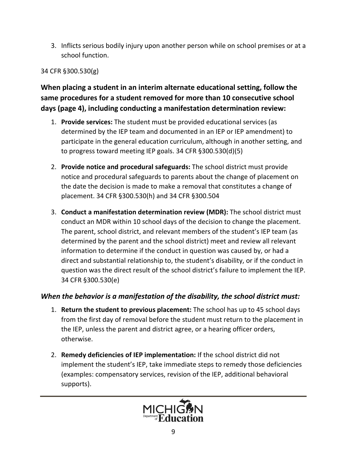3. Inflicts serious bodily injury upon another person while on school premises or at a school function.

#### 34 CFR §300.530(g)

**When placing a student in an interim alternate educational setting, follow the same procedures for a student removed for more than 10 consecutive school days (page 4), including conducting a manifestation determination review:**

- 1. **Provide services:** The student must be provided educational services (as determined by the IEP team and documented in an IEP or IEP amendment) to participate in the general education curriculum, although in another setting, and to progress toward meeting IEP goals. 34 CFR §300.530(d)(5)
- 2. **Provide notice and procedural safeguards:** The school district must provide notice and procedural safeguards to parents about the change of placement on the date the decision is made to make a removal that constitutes a change of placement. 34 CFR §300.530(h) and 34 CFR §300.504
- 3. **Conduct a manifestation determination review (MDR):** The school district must conduct an MDR within 10 school days of the decision to change the placement. The parent, school district, and relevant members of the student's IEP team (as determined by the parent and the school district) meet and review all relevant information to determine if the conduct in question was caused by, or had a direct and substantial relationship to, the student's disability, or if the conduct in question was the direct result of the school district's failure to implement the IEP. 34 CFR §300.530(e)

#### *When the behavior is a manifestation of the disability, the school district must:*

- 1. **Return the student to previous placement:** The school has up to 45 school days from the first day of removal before the student must return to the placement in the IEP, unless the parent and district agree, or a hearing officer orders, otherwise.
- 2. **Remedy deficiencies of IEP implementation:** If the school district did not implement the student's IEP, take immediate steps to remedy those deficiencies (examples: compensatory services, revision of the IEP, additional behavioral supports).

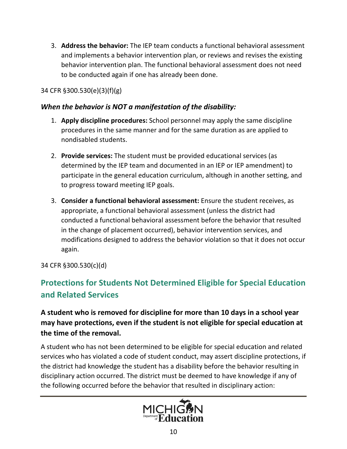3. **Address the behavior:** The IEP team conducts a functional behavioral assessment and implements a behavior intervention plan, or reviews and revises the existing behavior intervention plan. The functional behavioral assessment does not need to be conducted again if one has already been done.

#### 34 CFR §300.530(e)(3)(f)(g)

#### *When the behavior is NOT a manifestation of the disability:*

- 1. **Apply discipline procedures:** School personnel may apply the same discipline procedures in the same manner and for the same duration as are applied to nondisabled students.
- 2. **Provide services:** The student must be provided educational services (as determined by the IEP team and documented in an IEP or IEP amendment) to participate in the general education curriculum, although in another setting, and to progress toward meeting IEP goals.
- 3. **Consider a functional behavioral assessment:** Ensure the student receives, as appropriate, a functional behavioral assessment (unless the district had conducted a functional behavioral assessment before the behavior that resulted in the change of placement occurred), behavior intervention services, and modifications designed to address the behavior violation so that it does not occur again.

34 CFR §300.530(c)(d)

## <span id="page-9-0"></span>**Protections for Students Not Determined Eligible for Special Education and Related Services**

**A student who is removed for discipline for more than 10 days in a school year may have protections, even if the student is not eligible for special education at the time of the removal.**

A student who has not been determined to be eligible for special education and related services who has violated a code of student conduct, may assert discipline protections, if the district had knowledge the student has a disability before the behavior resulting in disciplinary action occurred. The district must be deemed to have knowledge if any of the following occurred before the behavior that resulted in disciplinary action:

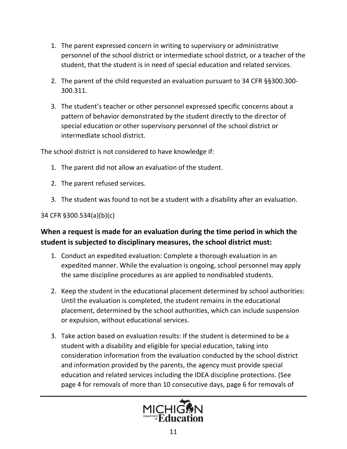- 1. The parent expressed concern in writing to supervisory or administrative personnel of the school district or intermediate school district, or a teacher of the student, that the student is in need of special education and related services.
- 2. The parent of the child requested an evaluation pursuant to 34 CFR §§300.300- 300.311.
- 3. The student's teacher or other personnel expressed specific concerns about a pattern of behavior demonstrated by the student directly to the director of special education or other supervisory personnel of the school district or intermediate school district.

The school district is not considered to have knowledge if:

- 1. The parent did not allow an evaluation of the student.
- 2. The parent refused services.
- 3. The student was found to not be a student with a disability after an evaluation.

34 CFR §300.534(a)(b)(c)

### **When a request is made for an evaluation during the time period in which the student is subjected to disciplinary measures, the school district must:**

- 1. Conduct an expedited evaluation: Complete a thorough evaluation in an expedited manner. While the evaluation is ongoing, school personnel may apply the same discipline procedures as are applied to nondisabled students.
- 2. Keep the student in the educational placement determined by school authorities: Until the evaluation is completed, the student remains in the educational placement, determined by the school authorities, which can include suspension or expulsion, without educational services.
- 3. Take action based on evaluation results: If the student is determined to be a student with a disability and eligible for special education, taking into consideration information from the evaluation conducted by the school district and information provided by the parents, the agency must provide special education and related services including the IDEA discipline protections. (See page 4 for removals of more than 10 consecutive days, page 6 for removals of

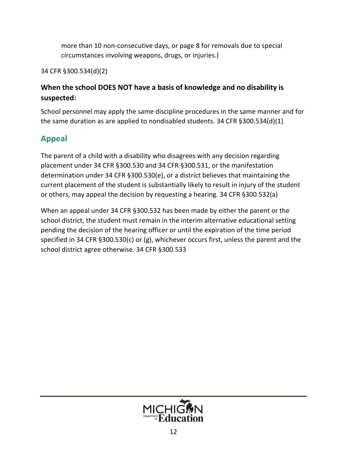more than 10 non-consecutive days, or page 8 for removals due to special circumstances involving weapons, drugs, or injuries.)

34 CFR §300.534(d)(2)

### **When the school DOES NOT have a basis of knowledge and no disability is suspected:**

School personnel may apply the same discipline procedures in the same manner and for the same duration as are applied to nondisabled students. 34 CFR §300.534(d)(1)

# <span id="page-11-0"></span>**Appeal**

The parent of a child with a disability who disagrees with any decision regarding placement under 34 CFR §300.530 and 34 CFR §300.531, or the manifestation determination under 34 CFR §300.530(e), or a district believes that maintaining the current placement of the student is substantially likely to result in injury of the student or others, may appeal the decision by requesting a hearing. 34 CFR §300.532(a)

When an appeal under 34 CFR §300.532 has been made by either the parent or the school district, the student must remain in the interim alternative educational setting pending the decision of the hearing officer or until the expiration of the time period specified in 34 CFR §300.530(c) or (g), whichever occurs first, unless the parent and the school district agree otherwise. 34 CFR §300.533